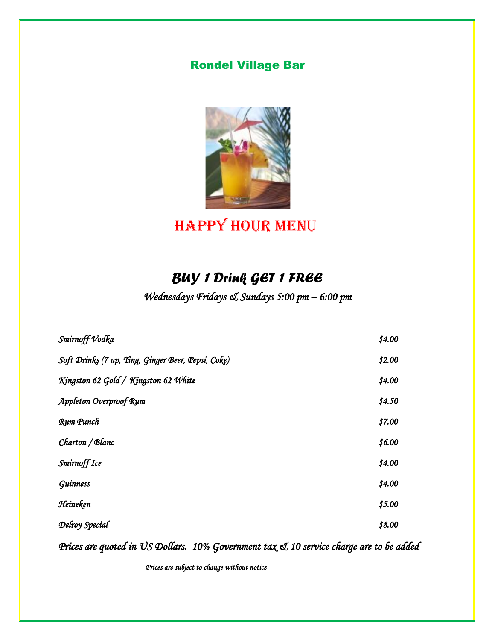### Rondel Village Bar



HAPPY HOUR MENU

### *BUY 1 Drink GET 1 FREE*

*Wednesdays Fridays & Sundays 5:00 pm – 6:00 pm* 

| Smirnoff Vodka                                     | \$4.00 |
|----------------------------------------------------|--------|
| Soft Drinks (7 up, Ting, Ginger Beer, Pepsi, Coke) | \$2.00 |
| Kingston 62 Gold / Kingston 62 White               | \$4.00 |
| Appleton Overproof Rum                             | \$4.50 |
| Rum Punch                                          | \$7.00 |
| Charton / Blanc                                    | \$6.00 |
| Smirnoff Ice                                       | \$4.00 |
| <b>Guinness</b>                                    | \$4.00 |
| Heineken                                           | \$5.00 |
| Delroy Special                                     | \$8.00 |
|                                                    |        |

*Prices are quoted in US Dollars. 10% Government tax & 10 service charge are to be added* 

*Prices are subject to change without notice*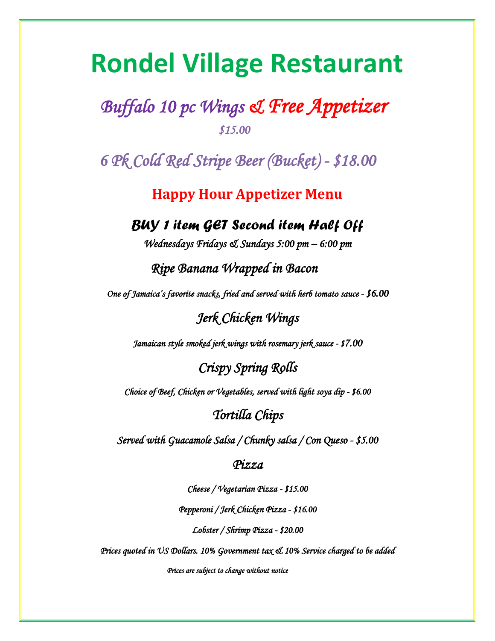# **Rondel Village Restaurant**

## *Buffalo 10 pc Wings & Free Appetizer \$15.00*

 *6 Pk Cold Red Stripe Beer (Bucket) - \$18.00*

**Happy Hour Appetizer Menu**

### *BUY 1 item GET Second item Half Off*

*Wednesdays Fridays & Sundays 5:00 pm – 6:00 pm* 

 *Ripe Banana Wrapped in Bacon* 

*One of Jamaica's favorite snacks, fried and served with herb tomato sauce - \$6.00* 

*Jerk Chicken Wings* 

*Jamaican style smoked jerk wings with rosemary jerk sauce - \$7.00* 

*Crispy Spring Rolls* 

*Choice of Beef, Chicken or Vegetables, served with light soya dip - \$6.00* 

### *Tortilla Chips*

*Served with Guacamole Salsa / Chunky salsa / Con Queso - \$5.00* 

#### *Pizza*

*Cheese / Vegetarian Pizza - \$15.00 Pepperoni / Jerk Chicken Pizza - \$16.00 Lobster / Shrimp Pizza - \$20.00* 

*Prices quoted in US Dollars. 10% Government tax & 10% Service charged to be added* 

 *Prices are subject to change without notice*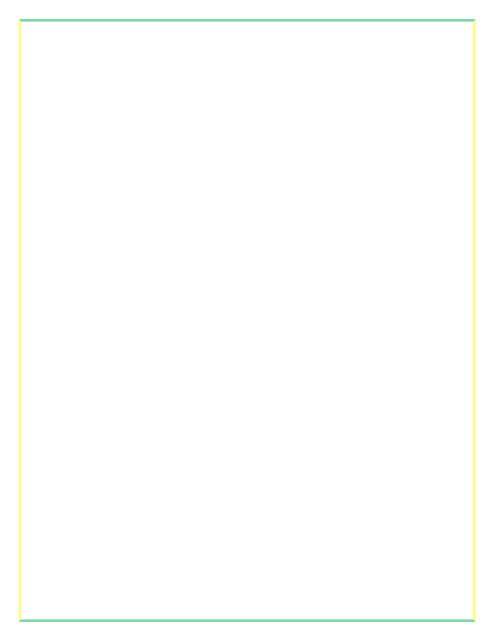